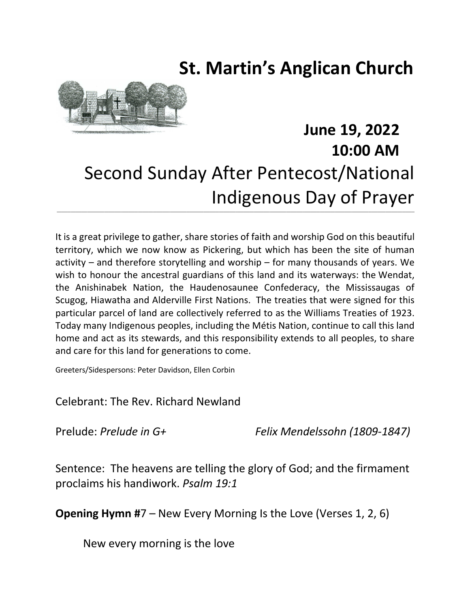# **St. Martin's Anglican Church**



# **June 19, 2022 10:00 AM** Second Sunday After Pentecost/National Indigenous Day of Prayer

It is a great privilege to gather, share stories of faith and worship God on this beautiful territory, which we now know as Pickering, but which has been the site of human activity – and therefore storytelling and worship – for many thousands of years. We wish to honour the ancestral guardians of this land and its waterways: the Wendat, the Anishinabek Nation, the Haudenosaunee Confederacy, the Mississaugas of Scugog, Hiawatha and Alderville First Nations. The treaties that were signed for this particular parcel of land are collectively referred to as the Williams Treaties of 1923. Today many Indigenous peoples, including the Métis Nation, continue to call this land home and act as its stewards, and this responsibility extends to all peoples, to share and care for this land for generations to come.

**\_\_\_\_\_\_\_\_\_\_\_\_\_\_\_\_\_\_\_\_\_\_\_\_\_\_\_\_\_\_\_\_\_\_\_\_\_\_\_\_\_\_\_\_\_\_\_\_\_\_\_\_\_\_\_\_\_\_\_\_\_\_\_\_\_\_\_\_\_\_\_\_\_\_\_\_\_\_\_\_\_\_\_\_\_\_\_\_\_\_\_\_\_\_\_\_\_\_\_\_\_\_\_\_\_\_\_\_\_\_\_\_\_\_\_\_\_\_\_\_\_\_\_\_\_\_\_\_\_\_\_\_\_\_\_\_\_\_\_\_\_\_\_\_\_\_\_\_\_\_\_\_\_\_\_\_\_\_\_\_\_\_\_\_\_\_\_\_\_\_\_\_\_\_\_\_\_\_\_\_\_\_\_\_\_\_\_\_\_\_\_\_\_\_\_\_\_\_\_\_\_\_\_\_\_\_\_\_\_\_\_\_\_\_\_\_\_\_\_\_\_\_\_\_\_\_\_\_\_\_\_\_\_\_**

Greeters/Sidespersons: Peter Davidson, Ellen Corbin

#### Celebrant: The Rev. Richard Newland

Prelude: *Prelude in G+ Felix Mendelssohn (1809-1847)*

Sentence: The heavens are telling the glory of God; and the firmament proclaims his handiwork. *Psalm 19:1*

**Opening Hymn #**7 – New Every Morning Is the Love (Verses 1, 2, 6)

New every morning is the love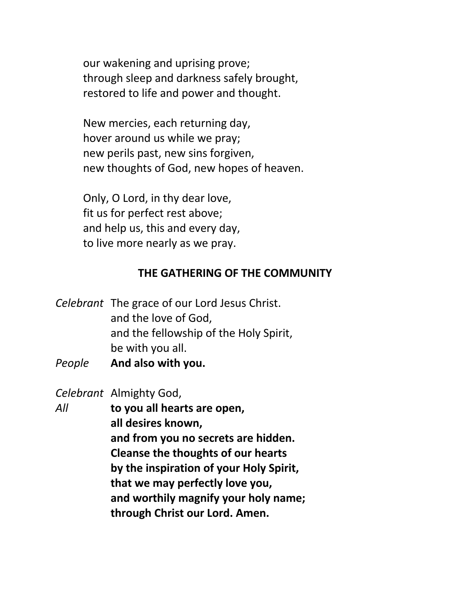our wakening and uprising prove; through sleep and darkness safely brought, restored to life and power and thought.

New mercies, each returning day, hover around us while we pray; new perils past, new sins forgiven, new thoughts of God, new hopes of heaven.

Only, O Lord, in thy dear love, fit us for perfect rest above; and help us, this and every day, to live more nearly as we pray.

#### **THE GATHERING OF THE COMMUNITY**

- *Celebrant* The grace of our Lord Jesus Christ. and the love of God, and the fellowship of the Holy Spirit, be with you all.
- *People* **And also with you.**

*Celebrant* Almighty God,

*All* **to you all hearts are open, all desires known, and from you no secrets are hidden. Cleanse the thoughts of our hearts by the inspiration of your Holy Spirit, that we may perfectly love you, and worthily magnify your holy name; through Christ our Lord. Amen.**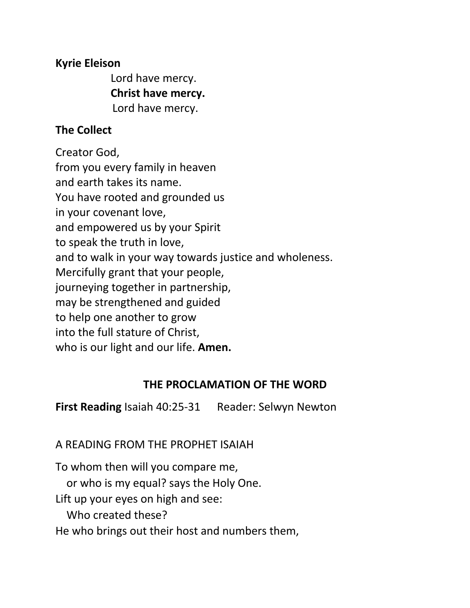#### **Kyrie Eleison**

Lord have mercy. **Christ have mercy.**  Lord have mercy.

#### **The Collect**

Creator God, from you every family in heaven and earth takes its name. You have rooted and grounded us in your covenant love, and empowered us by your Spirit to speak the truth in love, and to walk in your way towards justice and wholeness. Mercifully grant that your people, journeying together in partnership, may be strengthened and guided to help one another to grow into the full stature of Christ, who is our light and our life. **Amen.**

#### **THE PROCLAMATION OF THE WORD**

**First Reading** Isaiah 40:25-31Reader: Selwyn Newton

A READING FROM THE PROPHET ISAIAH

To whom then will you compare me,

or who is my equal? says the Holy One.

Lift up your eyes on high and see:

Who created these?

He who brings out their host and numbers them,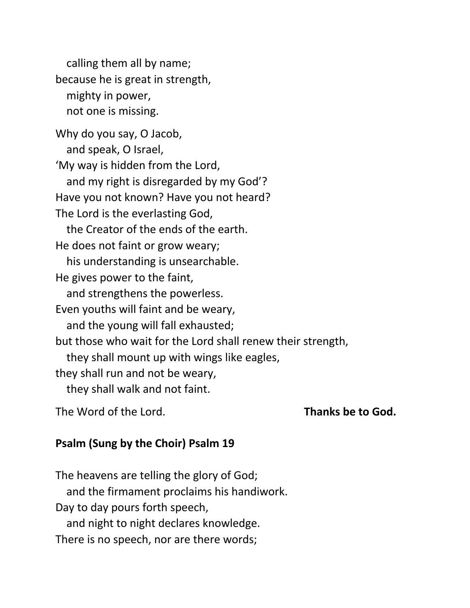calling them all by name; because he is great in strength, mighty in power, not one is missing.

Why do you say, O Jacob, and speak, O Israel, 'My way is hidden from the Lord, and my right is disregarded by my God'? Have you not known? Have you not heard? The Lord is the everlasting God, the Creator of the ends of the earth. He does not faint or grow weary; his understanding is unsearchable. He gives power to the faint, and strengthens the powerless. Even youths will faint and be weary, and the young will fall exhausted; but those who wait for the Lord shall renew their strength, they shall mount up with wings like eagles, they shall run and not be weary, they shall walk and not faint.

The Word of the Lord. **Thanks be to God.**

#### **Psalm (Sung by the Choir) Psalm 19**

The heavens are telling the glory of God; and the firmament proclaims his handiwork. Day to day pours forth speech, and night to night declares knowledge. There is no speech, nor are there words;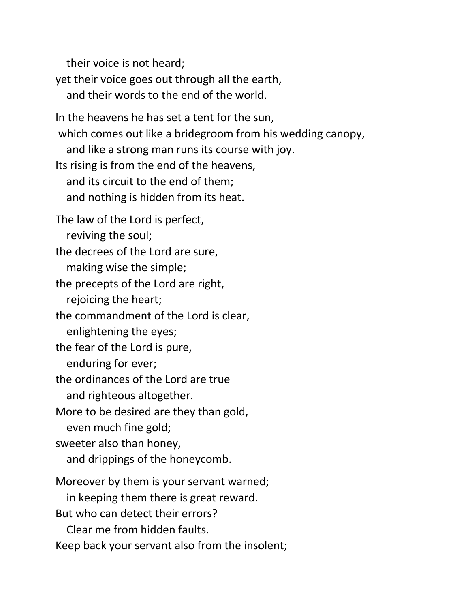their voice is not heard;

yet their voice goes out through all the earth,

and their words to the end of the world.

In the heavens he has set a tent for the sun, which comes out like a bridegroom from his wedding canopy, and like a strong man runs its course with joy. Its rising is from the end of the heavens, and its circuit to the end of them; and nothing is hidden from its heat. The law of the Lord is perfect, reviving the soul; the decrees of the Lord are sure, making wise the simple; the precepts of the Lord are right, rejoicing the heart; the commandment of the Lord is clear, enlightening the eyes; the fear of the Lord is pure, enduring for ever; the ordinances of the Lord are true and righteous altogether. More to be desired are they than gold, even much fine gold; sweeter also than honey, and drippings of the honeycomb. Moreover by them is your servant warned; in keeping them there is great reward. But who can detect their errors? Clear me from hidden faults. Keep back your servant also from the insolent;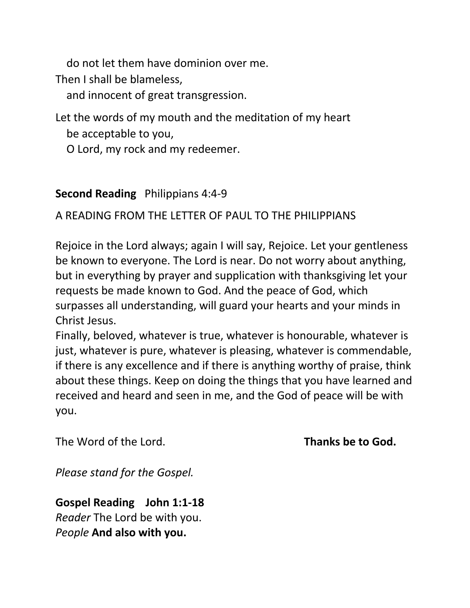do not let them have dominion over me.

Then I shall be blameless,

and innocent of great transgression.

Let the words of my mouth and the meditation of my heart be acceptable to you,

O Lord, my rock and my redeemer.

#### **Second Reading** Philippians 4:4-9

### A READING FROM THE LETTER OF PAUL TO THE PHILIPPIANS

Rejoice in the Lord always; again I will say, Rejoice. Let your gentleness be known to everyone. The Lord is near. Do not worry about anything, but in everything by prayer and supplication with thanksgiving let your requests be made known to God. And the peace of God, which surpasses all understanding, will guard your hearts and your minds in Christ Jesus.

Finally, beloved, whatever is true, whatever is honourable, whatever is just, whatever is pure, whatever is pleasing, whatever is commendable, if there is any excellence and if there is anything worthy of praise, think about these things. Keep on doing the things that you have learned and received and heard and seen in me, and the God of peace will be with you.

The Word of the Lord. **Thanks be to God.**

*Please stand for the Gospel.* 

**Gospel Reading John 1:1-18** *Reader* The Lord be with you. *People* **And also with you.**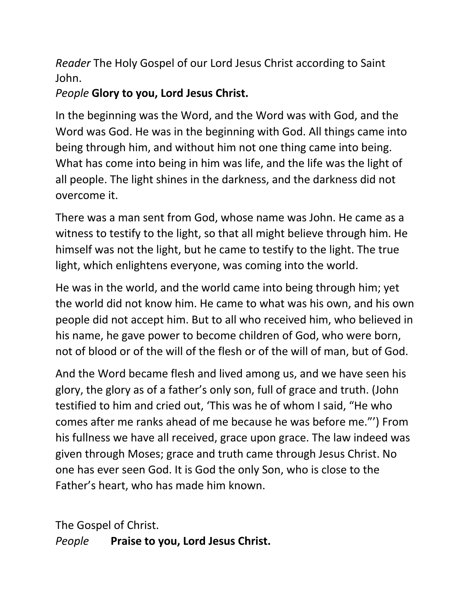*Reader* The Holy Gospel of our Lord Jesus Christ according to Saint John.

*People* **Glory to you, Lord Jesus Christ.**

In the beginning was the Word, and the Word was with God, and the Word was God. He was in the beginning with God. All things came into being through him, and without him not one thing came into being. What has come into being in him was life, and the life was the light of all people. The light shines in the darkness, and the darkness did not overcome it.

There was a man sent from God, whose name was John. He came as a witness to testify to the light, so that all might believe through him. He himself was not the light, but he came to testify to the light. The true light, which enlightens everyone, was coming into the world.

He was in the world, and the world came into being through him; yet the world did not know him. He came to what was his own, and his own people did not accept him. But to all who received him, who believed in his name, he gave power to become children of God, who were born, not of blood or of the will of the flesh or of the will of man, but of God.

And the Word became flesh and lived among us, and we have seen his glory, the glory as of a father's only son, full of grace and truth. (John testified to him and cried out, 'This was he of whom I said, "He who comes after me ranks ahead of me because he was before me."') From his fullness we have all received, grace upon grace. The law indeed was given through Moses; grace and truth came through Jesus Christ. No one has ever seen God. It is God the only Son, who is close to the Father's heart, who has made him known.

The Gospel of Christ. *People* **Praise to you, Lord Jesus Christ.**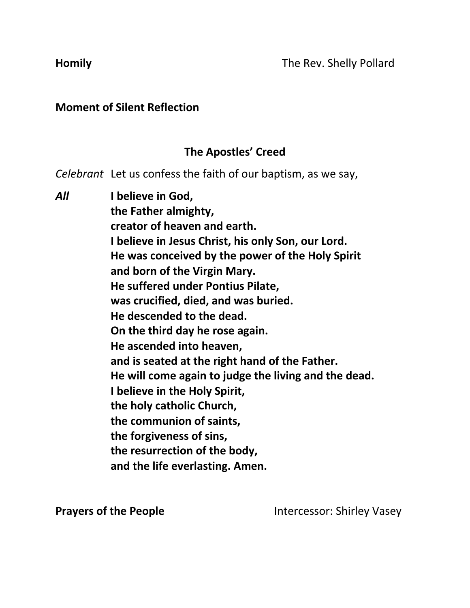#### **Moment of Silent Reflection**

#### **The Apostles' Creed**

*Celebrant* Let us confess the faith of our baptism, as we say,

*All* **I believe in God, the Father almighty, creator of heaven and earth. I believe in Jesus Christ, his only Son, our Lord. He was conceived by the power of the Holy Spirit and born of the Virgin Mary. He suffered under Pontius Pilate, was crucified, died, and was buried. He descended to the dead. On the third day he rose again. He ascended into heaven, and is seated at the right hand of the Father. He will come again to judge the living and the dead. I believe in the Holy Spirit, the holy catholic Church, the communion of saints, the forgiveness of sins, the resurrection of the body, and the life everlasting. Amen.**

**Prayers of the People Intercessor: Shirley Vasey**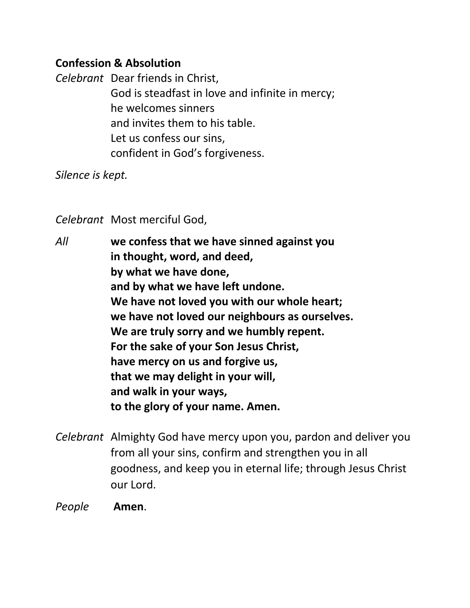#### **Confession & Absolution**

*Celebrant* Dear friends in Christ, God is steadfast in love and infinite in mercy; he welcomes sinners and invites them to his table. Let us confess our sins, confident in God's forgiveness.

*Silence is kept.* 

*Celebrant* Most merciful God,

*All* **we confess that we have sinned against you in thought, word, and deed, by what we have done, and by what we have left undone. We have not loved you with our whole heart; we have not loved our neighbours as ourselves. We are truly sorry and we humbly repent. For the sake of your Son Jesus Christ, have mercy on us and forgive us, that we may delight in your will, and walk in your ways, to the glory of your name. Amen.**

*Celebrant* Almighty God have mercy upon you, pardon and deliver you from all your sins, confirm and strengthen you in all goodness, and keep you in eternal life; through Jesus Christ our Lord.

*People* **Amen**.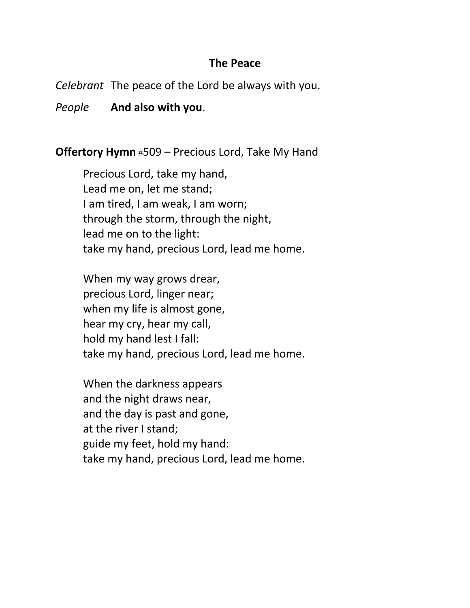#### **The Peace**

*Celebrant* The peace of the Lord be always with you.

*People* **And also with you**.

**Offertory Hymn** #509 – Precious Lord, Take My Hand

Precious Lord, take my hand, Lead me on, let me stand; I am tired, I am weak, I am worn; through the storm, through the night, lead me on to the light: take my hand, precious Lord, lead me home.

When my way grows drear, precious Lord, linger near; when my life is almost gone, hear my cry, hear my call, hold my hand lest I fall: take my hand, precious Lord, lead me home.

When the darkness appears and the night draws near, and the day is past and gone, at the river I stand; guide my feet, hold my hand: take my hand, precious Lord, lead me home.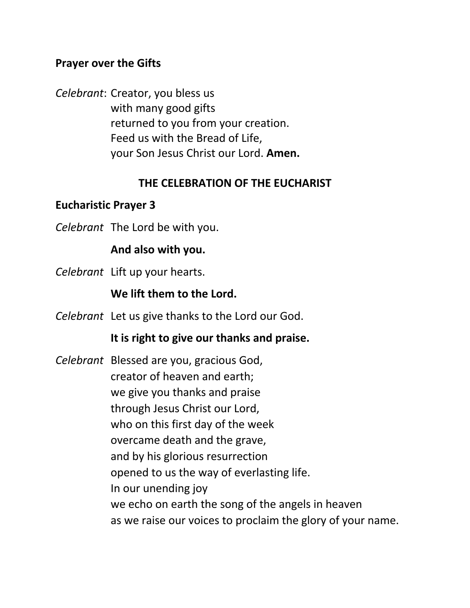#### **Prayer over the Gifts**

*Celebrant*: Creator, you bless us with many good gifts returned to you from your creation. Feed us with the Bread of Life, your Son Jesus Christ our Lord. **Amen.**

#### **THE CELEBRATION OF THE EUCHARIST**

#### **Eucharistic Prayer 3**

*Celebrant* The Lord be with you.

#### **And also with you.**

*Celebrant* Lift up your hearts.

#### **We lift them to the Lord.**

*Celebrant* Let us give thanks to the Lord our God.

#### **It is right to give our thanks and praise.**

*Celebrant* Blessed are you, gracious God, creator of heaven and earth; we give you thanks and praise through Jesus Christ our Lord, who on this first day of the week overcame death and the grave, and by his glorious resurrection opened to us the way of everlasting life. In our unending joy we echo on earth the song of the angels in heaven as we raise our voices to proclaim the glory of your name.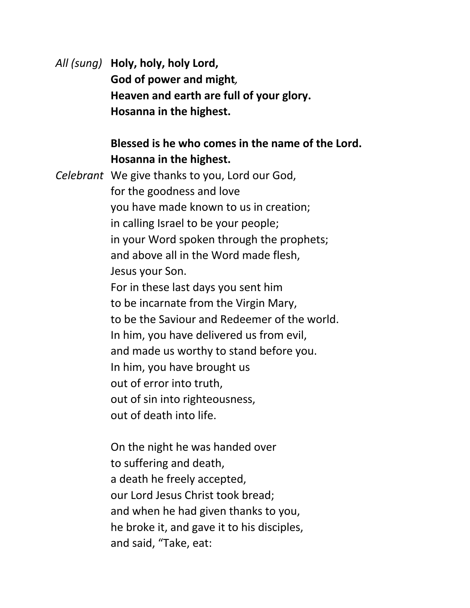*All (sung)* **Holy, holy, holy Lord, God of power and might***,* **Heaven and earth are full of your glory. Hosanna in the highest. Blessed is he who comes in the name of the Lord. Hosanna in the highest.** *Celebrant* We give thanks to you, Lord our God, for the goodness and love you have made known to us in creation; in calling Israel to be your people; in your Word spoken through the prophets; and above all in the Word made flesh, Jesus your Son. For in these last days you sent him to be incarnate from the Virgin Mary, to be the Saviour and Redeemer of the world. In him, you have delivered us from evil, and made us worthy to stand before you. In him, you have brought us out of error into truth, out of sin into righteousness, out of death into life. On the night he was handed over

to suffering and death, a death he freely accepted, our Lord Jesus Christ took bread; and when he had given thanks to you, he broke it, and gave it to his disciples, and said, "Take, eat: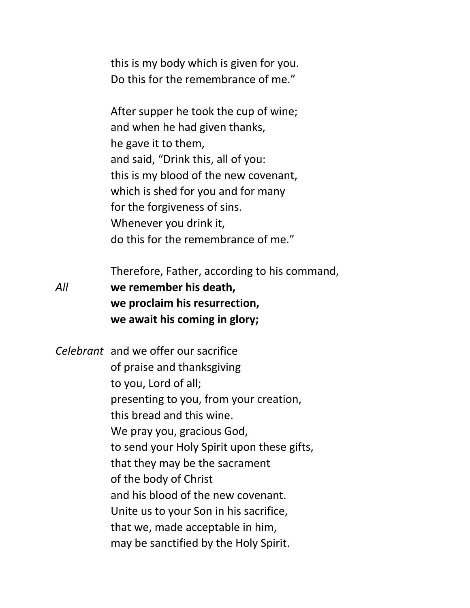this is my body which is given for you. Do this for the remembrance of me."

After supper he took the cup of wine; and when he had given thanks, he gave it to them, and said, "Drink this, all of you: this is my blood of the new covenant, which is shed for you and for many for the forgiveness of sins. Whenever you drink it, do this for the remembrance of me."

Therefore, Father, according to his command,

*All* **we remember his death, we proclaim his resurrection, we await his coming in glory;**

*Celebrant* and we offer our sacrifice of praise and thanksgiving to you, Lord of all; presenting to you, from your creation, this bread and this wine. We pray you, gracious God, to send your Holy Spirit upon these gifts, that they may be the sacrament of the body of Christ and his blood of the new covenant. Unite us to your Son in his sacrifice, that we, made acceptable in him, may be sanctified by the Holy Spirit.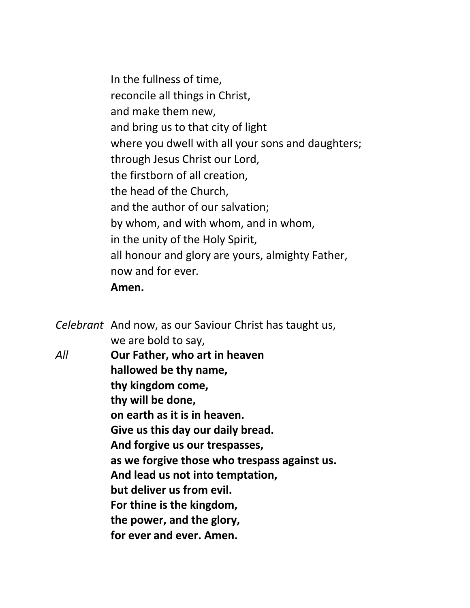In the fullness of time, reconcile all things in Christ, and make them new, and bring us to that city of light where you dwell with all your sons and daughters; through Jesus Christ our Lord, the firstborn of all creation, the head of the Church, and the author of our salvation; by whom, and with whom, and in whom, in the unity of the Holy Spirit, all honour and glory are yours, almighty Father, now and for ever*.* **Amen.**

*Celebrant* And now, as our Saviour Christ has taught us, we are bold to say, *All* **Our Father, who art in heaven hallowed be thy name, thy kingdom come, thy will be done, on earth as it is in heaven. Give us this day our daily bread. And forgive us our trespasses, as we forgive those who trespass against us. And lead us not into temptation, but deliver us from evil. For thine is the kingdom, the power, and the glory, for ever and ever. Amen.**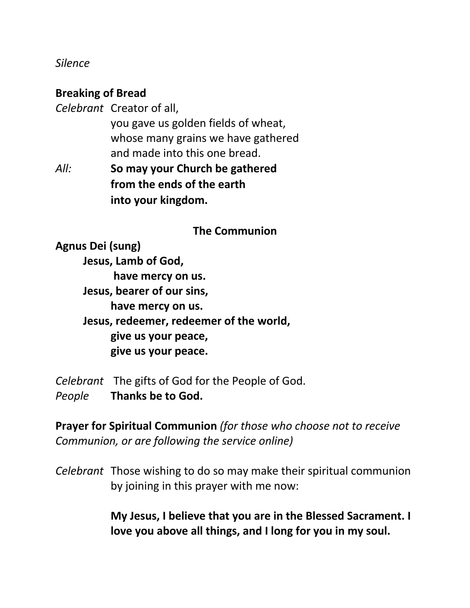#### *Silence*

#### **Breaking of Bread**

*Celebrant* Creator of all,

you gave us golden fields of wheat, whose many grains we have gathered and made into this one bread.

*All:* **So may your Church be gathered from the ends of the earth into your kingdom.** 

#### **The Communion**

**Agnus Dei (sung) Jesus, Lamb of God, have mercy on us. Jesus, bearer of our sins, have mercy on us. Jesus, redeemer, redeemer of the world, give us your peace, give us your peace.** 

*Celebrant* The gifts of God for the People of God. *People* **Thanks be to God.**

**Prayer for Spiritual Communion** *(for those who choose not to receive Communion, or are following the service online)*

*Celebrant* Those wishing to do so may make their spiritual communion by joining in this prayer with me now:

> **My Jesus, I believe that you are in the Blessed Sacrament. I love you above all things, and I long for you in my soul.**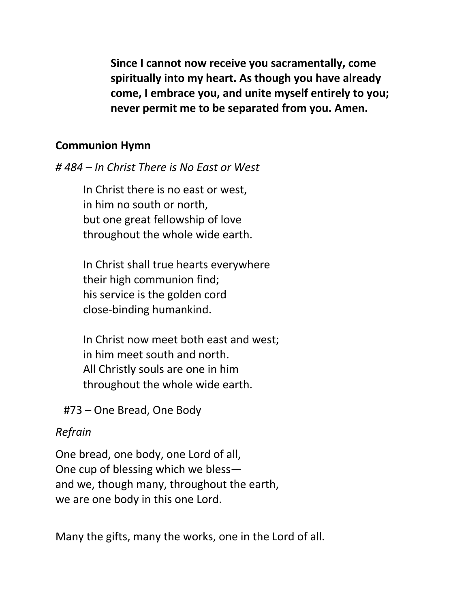**Since I cannot now receive you sacramentally, come spiritually into my heart. As though you have already come, I embrace you, and unite myself entirely to you; never permit me to be separated from you. Amen.**

#### **Communion Hymn**

#### *# 484 – In Christ There is No East or West*

In Christ there is no east or west, in him no south or north, but one great fellowship of love throughout the whole wide earth.

In Christ shall true hearts everywhere their high communion find; his service is the golden cord close-binding humankind.

In Christ now meet both east and west; in him meet south and north. All Christly souls are one in him throughout the whole wide earth.

#73 – One Bread, One Body

#### *Refrain*

One bread, one body, one Lord of all, One cup of blessing which we bless and we, though many, throughout the earth, we are one body in this one Lord.

Many the gifts, many the works, one in the Lord of all.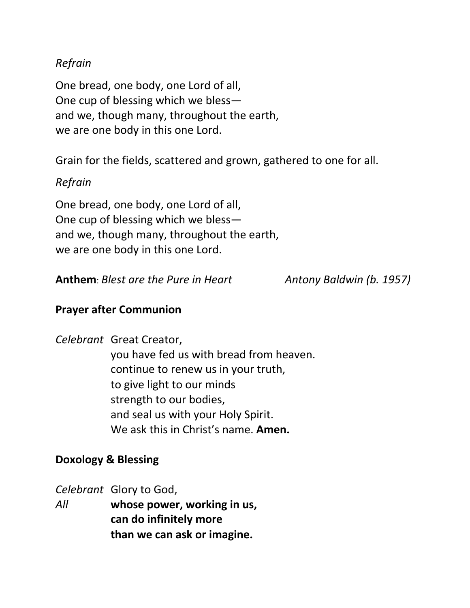#### *Refrain*

One bread, one body, one Lord of all, One cup of blessing which we bless and we, though many, throughout the earth, we are one body in this one Lord.

Grain for the fields, scattered and grown, gathered to one for all.

#### *Refrain*

One bread, one body, one Lord of all, One cup of blessing which we bless and we, though many, throughout the earth, we are one body in this one Lord.

Anthem: *Blest are the Pure in Heart* Antony Baldwin (b. 1957)

#### **Prayer after Communion**

*Celebrant* Great Creator,

you have fed us with bread from heaven. continue to renew us in your truth, to give light to our minds strength to our bodies, and seal us with your Holy Spirit. We ask this in Christ's name. **Amen.**

#### **Doxology & Blessing**

*Celebrant* Glory to God,

*All* **whose power, working in us, can do infinitely more than we can ask or imagine.**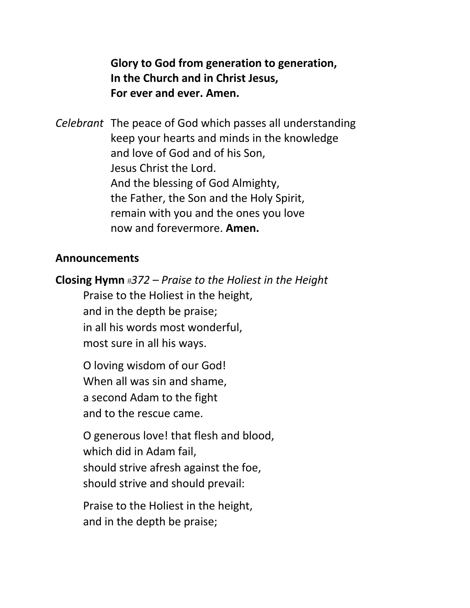**Glory to God from generation to generation, In the Church and in Christ Jesus, For ever and ever. Amen.**

*Celebrant* The peace of God which passes all understanding keep your hearts and minds in the knowledge and love of God and of his Son, Jesus Christ the Lord. And the blessing of God Almighty, the Father, the Son and the Holy Spirit, remain with you and the ones you love now and forevermore. **Amen.**

#### **Announcements**

**Closing Hymn** *#372 – Praise to the Holiest in the Height*  Praise to the Holiest in the height, and in the depth be praise; in all his words most wonderful, most sure in all his ways.

> O loving wisdom of our God! When all was sin and shame, a second Adam to the fight and to the rescue came.

O generous love! that flesh and blood, which did in Adam fail, should strive afresh against the foe, should strive and should prevail:

Praise to the Holiest in the height, and in the depth be praise;